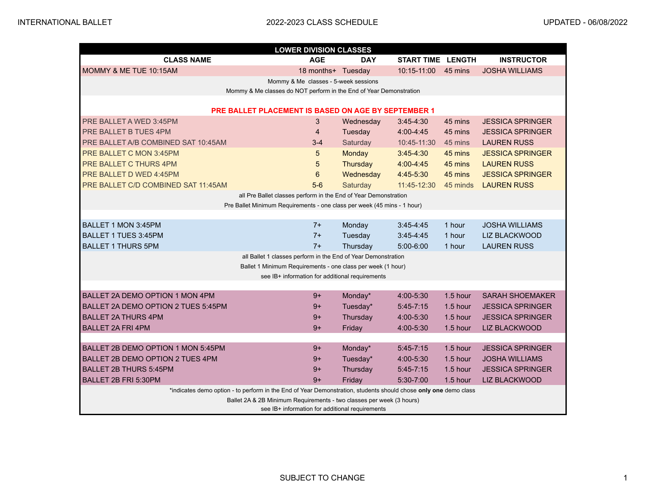| <b>LOWER DIVISION CLASSES</b>                                                                                                |                    |                 |                          |            |                         |  |  |  |
|------------------------------------------------------------------------------------------------------------------------------|--------------------|-----------------|--------------------------|------------|-------------------------|--|--|--|
| <b>CLASS NAME</b>                                                                                                            | <b>AGE</b>         | <b>DAY</b>      | <b>START TIME LENGTH</b> |            | <b>INSTRUCTOR</b>       |  |  |  |
| MOMMY & ME TUE 10:15AM                                                                                                       | 18 months+ Tuesday |                 | 10:15-11:00              | 45 mins    | <b>JOSHA WILLIAMS</b>   |  |  |  |
| Mommy & Me classes - 5-week sessions                                                                                         |                    |                 |                          |            |                         |  |  |  |
| Mommy & Me classes do NOT perform in the End of Year Demonstration                                                           |                    |                 |                          |            |                         |  |  |  |
|                                                                                                                              |                    |                 |                          |            |                         |  |  |  |
| <b>PRE BALLET PLACEMENT IS BASED ON AGE BY SEPTEMBER 1</b>                                                                   |                    |                 |                          |            |                         |  |  |  |
| PRE BALLET A WED 3:45PM                                                                                                      | 3                  | Wednesday       | $3:45-4:30$              | 45 mins    | <b>JESSICA SPRINGER</b> |  |  |  |
| <b>PRE BALLET B TUES 4PM</b>                                                                                                 | $\overline{4}$     | Tuesday         | $4:00 - 4:45$            | 45 mins    | <b>JESSICA SPRINGER</b> |  |  |  |
| PRE BALLET A/B COMBINED SAT 10:45AM                                                                                          | $3-4$              | Saturday        | 10:45-11:30              | 45 mins    | <b>LAUREN RUSS</b>      |  |  |  |
| PRE BALLET C MON 3:45PM                                                                                                      | 5                  | Monday          | $3:45 - 4:30$            | 45 mins    | <b>JESSICA SPRINGER</b> |  |  |  |
| PRE BALLET C THURS 4PM                                                                                                       | 5                  | <b>Thursday</b> | $4:00 - 4:45$            | 45 mins    | <b>LAUREN RUSS</b>      |  |  |  |
| PRE BALLET D WED 4:45PM                                                                                                      | 6                  | Wednesday       | 4:45-5:30                | 45 mins    | <b>JESSICA SPRINGER</b> |  |  |  |
| PRE BALLET C/D COMBINED SAT 11:45AM                                                                                          | $5-6$              | Saturday        | 11:45-12:30              | 45 minds   | <b>LAUREN RUSS</b>      |  |  |  |
| all Pre Ballet classes perform in the End of Year Demonstration                                                              |                    |                 |                          |            |                         |  |  |  |
| Pre Ballet Minimum Requirements - one class per week (45 mins - 1 hour)                                                      |                    |                 |                          |            |                         |  |  |  |
| <b>BALLET 1 MON 3:45PM</b>                                                                                                   | $7+$               | Monday          | $3:45 - 4:45$            | 1 hour     | <b>JOSHA WILLIAMS</b>   |  |  |  |
| BALLET 1 TUES 3:45PM                                                                                                         | $7+$               | Tuesday         | $3:45 - 4:45$            | 1 hour     | <b>LIZ BLACKWOOD</b>    |  |  |  |
| <b>BALLET 1 THURS 5PM</b>                                                                                                    | $7+$               | Thursday        | $5:00 - 6:00$            | 1 hour     | <b>LAUREN RUSS</b>      |  |  |  |
|                                                                                                                              |                    |                 |                          |            |                         |  |  |  |
| all Ballet 1 classes perform in the End of Year Demonstration<br>Ballet 1 Minimum Requirements - one class per week (1 hour) |                    |                 |                          |            |                         |  |  |  |
| see IB+ information for additional requirements                                                                              |                    |                 |                          |            |                         |  |  |  |
|                                                                                                                              |                    |                 |                          |            |                         |  |  |  |
| BALLET 2A DEMO OPTION 1 MON 4PM                                                                                              | $9+$               | Monday*         | 4:00-5:30                | $1.5$ hour | <b>SARAH SHOEMAKER</b>  |  |  |  |
| BALLET 2A DEMO OPTION 2 TUES 5:45PM                                                                                          | $9+$               | Tuesday*        | $5:45 - 7:15$            | 1.5 hour   | <b>JESSICA SPRINGER</b> |  |  |  |
| <b>BALLET 2A THURS 4PM</b>                                                                                                   | $9+$               | Thursday        | 4:00-5:30                | $1.5$ hour | <b>JESSICA SPRINGER</b> |  |  |  |
| <b>BALLET 2A FRI 4PM</b>                                                                                                     | 9+                 | Friday          | 4:00-5:30                | 1.5 hour   | LIZ BLACKWOOD           |  |  |  |
|                                                                                                                              |                    |                 |                          |            |                         |  |  |  |
| BALLET 2B DEMO OPTION 1 MON 5:45PM                                                                                           | $9+$               | Monday*         | $5:45-7:15$              | $1.5$ hour | <b>JESSICA SPRINGER</b> |  |  |  |
| BALLET 2B DEMO OPTION 2 TUES 4PM                                                                                             | 9+                 | Tuesday*        | 4:00-5:30                | $1.5$ hour | <b>JOSHA WILLIAMS</b>   |  |  |  |
| <b>BALLET 2B THURS 5:45PM</b>                                                                                                | $9+$               | Thursday        | $5:45-7:15$              | $1.5$ hour | <b>JESSICA SPRINGER</b> |  |  |  |
| BALLET 2B FRI 5:30PM                                                                                                         | $9+$               | Friday          | 5:30-7:00                | $1.5$ hour | <b>LIZ BLACKWOOD</b>    |  |  |  |
| *indicates demo option - to perform in the End of Year Demonstration, students should chose only one demo class              |                    |                 |                          |            |                         |  |  |  |
| Ballet 2A & 2B Minimum Requirements - two classes per week (3 hours)                                                         |                    |                 |                          |            |                         |  |  |  |
| see IB+ information for additional requirements                                                                              |                    |                 |                          |            |                         |  |  |  |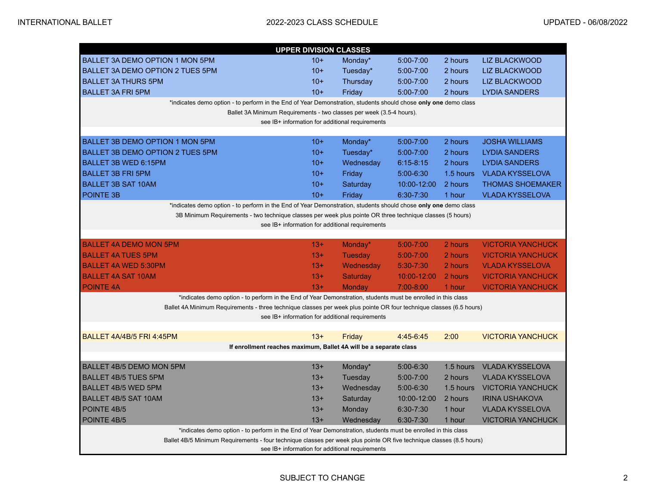|                                                                                                                      | <b>UPPER DIVISION CLASSES</b> |                                                 |               |           |                          |  |  |  |
|----------------------------------------------------------------------------------------------------------------------|-------------------------------|-------------------------------------------------|---------------|-----------|--------------------------|--|--|--|
| BALLET 3A DEMO OPTION 1 MON 5PM                                                                                      | $10+$                         | Monday*                                         | $5:00 - 7:00$ | 2 hours   | LIZ BLACKWOOD            |  |  |  |
| BALLET 3A DEMO OPTION 2 TUES 5PM                                                                                     | $10+$                         | Tuesday*                                        | $5:00 - 7:00$ | 2 hours   | <b>LIZ BLACKWOOD</b>     |  |  |  |
| BALLET 3A THURS 5PM                                                                                                  | $10+$                         | Thursday                                        | $5:00 - 7:00$ | 2 hours   | LIZ BLACKWOOD            |  |  |  |
| <b>BALLET 3A FRI 5PM</b>                                                                                             | $10+$                         | Friday                                          | $5:00 - 7:00$ | 2 hours   | <b>LYDIA SANDERS</b>     |  |  |  |
| *indicates demo option - to perform in the End of Year Demonstration, students should chose only one demo class      |                               |                                                 |               |           |                          |  |  |  |
| Ballet 3A Minimum Requirements - two classes per week (3.5-4 hours).                                                 |                               |                                                 |               |           |                          |  |  |  |
| see IB+ information for additional requirements                                                                      |                               |                                                 |               |           |                          |  |  |  |
|                                                                                                                      |                               |                                                 |               |           |                          |  |  |  |
| <b>BALLET 3B DEMO OPTION 1 MON 5PM</b>                                                                               | $10+$                         | Monday*                                         | $5:00 - 7:00$ | 2 hours   | <b>JOSHA WILLIAMS</b>    |  |  |  |
| <b>BALLET 3B DEMO OPTION 2 TUES 5PM</b>                                                                              | $10+$                         | Tuesday*                                        | 5:00-7:00     | 2 hours   | <b>LYDIA SANDERS</b>     |  |  |  |
| BALLET 3B WED 6:15PM                                                                                                 | $10+$                         | Wednesday                                       | $6:15 - 8:15$ | 2 hours   | <b>LYDIA SANDERS</b>     |  |  |  |
| <b>BALLET 3B FRI 5PM</b>                                                                                             | $10+$                         | Friday                                          | $5:00 - 6:30$ | 1.5 hours | <b>VLADA KYSSELOVA</b>   |  |  |  |
| <b>BALLET 3B SAT 10AM</b>                                                                                            | $10+$                         | Saturday                                        | 10:00-12:00   | 2 hours   | <b>THOMAS SHOEMAKER</b>  |  |  |  |
| <b>POINTE 3B</b>                                                                                                     | $10+$                         | Friday                                          | $6:30 - 7:30$ | 1 hour    | <b>VLADA KYSSELOVA</b>   |  |  |  |
| *indicates demo option - to perform in the End of Year Demonstration, students should chose only one demo class      |                               |                                                 |               |           |                          |  |  |  |
| 3B Minimum Requirements - two technique classes per week plus pointe OR three technique classes (5 hours)            |                               |                                                 |               |           |                          |  |  |  |
|                                                                                                                      |                               | see IB+ information for additional requirements |               |           |                          |  |  |  |
|                                                                                                                      |                               |                                                 |               |           |                          |  |  |  |
| <b>BALLET 4A DEMO MON 5PM</b>                                                                                        | $13+$                         | Monday*                                         | $5:00 - 7:00$ | 2 hours   | <b>VICTORIA YANCHUCK</b> |  |  |  |
| <b>BALLET 4A TUES 5PM</b>                                                                                            | $13+$                         | Tuesday                                         | $5:00 - 7:00$ | 2 hours   | <b>VICTORIA YANCHUCK</b> |  |  |  |
| <b>BALLET 4A WED 5:30PM</b>                                                                                          | $13+$                         | Wednesday                                       | $5:30 - 7:30$ | 2 hours   | <b>VLADA KYSSELOVA</b>   |  |  |  |
| <b>BALLET 4A SAT 10AM</b>                                                                                            | $13+$                         | Saturday                                        | 10:00-12:00   | 2 hours   | <b>VICTORIA YANCHUCK</b> |  |  |  |
| <b>POINTE 4A</b>                                                                                                     | $13+$                         | Monday                                          | $7:00 - 8:00$ | 1 hour    | <b>VICTORIA YANCHUCK</b> |  |  |  |
| *indicates demo option - to perform in the End of Year Demonstration, students must be enrolled in this class        |                               |                                                 |               |           |                          |  |  |  |
| Ballet 4A Minimum Requirements - three technique classes per week plus pointe OR four technique classes (6.5 hours)  |                               |                                                 |               |           |                          |  |  |  |
| see IB+ information for additional requirements                                                                      |                               |                                                 |               |           |                          |  |  |  |
| BALLET 4A/4B/5 FRI 4:45PM                                                                                            | $13+$                         | Friday                                          | $4:45-6:45$   | 2:00      | <b>VICTORIA YANCHUCK</b> |  |  |  |
| If enrollment reaches maximum, Ballet 4A will be a separate class                                                    |                               |                                                 |               |           |                          |  |  |  |
|                                                                                                                      |                               |                                                 |               |           |                          |  |  |  |
| BALLET 4B/5 DEMO MON 5PM                                                                                             | $13+$                         | Monday*                                         | $5:00 - 6:30$ | 1.5 hours | <b>VLADA KYSSELOVA</b>   |  |  |  |
| <b>BALLET 4B/5 TUES 5PM</b>                                                                                          | $13+$                         | Tuesday                                         | $5:00 - 7:00$ | 2 hours   | <b>VLADA KYSSELOVA</b>   |  |  |  |
| <b>BALLET 4B/5 WED 5PM</b>                                                                                           | $13+$                         | Wednesday                                       | $5:00 - 6:30$ | 1.5 hours | <b>VICTORIA YANCHUCK</b> |  |  |  |
| <b>BALLET 4B/5 SAT 10AM</b>                                                                                          | $13+$                         | Saturday                                        | 10:00-12:00   | 2 hours   | <b>IRINA USHAKOVA</b>    |  |  |  |
| POINTE 4B/5                                                                                                          | $13+$                         | Monday                                          | $6:30 - 7:30$ | 1 hour    | <b>VLADA KYSSELOVA</b>   |  |  |  |
| POINTE 4B/5                                                                                                          | $13+$                         | Wednesday                                       | $6:30 - 7:30$ | 1 hour    | <b>VICTORIA YANCHUCK</b> |  |  |  |
| *indicates demo option - to perform in the End of Year Demonstration, students must be enrolled in this class        |                               |                                                 |               |           |                          |  |  |  |
| Ballet 4B/5 Minimum Requirements - four technique classes per week plus pointe OR five technique classes (8.5 hours) |                               |                                                 |               |           |                          |  |  |  |
| see IB+ information for additional requirements                                                                      |                               |                                                 |               |           |                          |  |  |  |